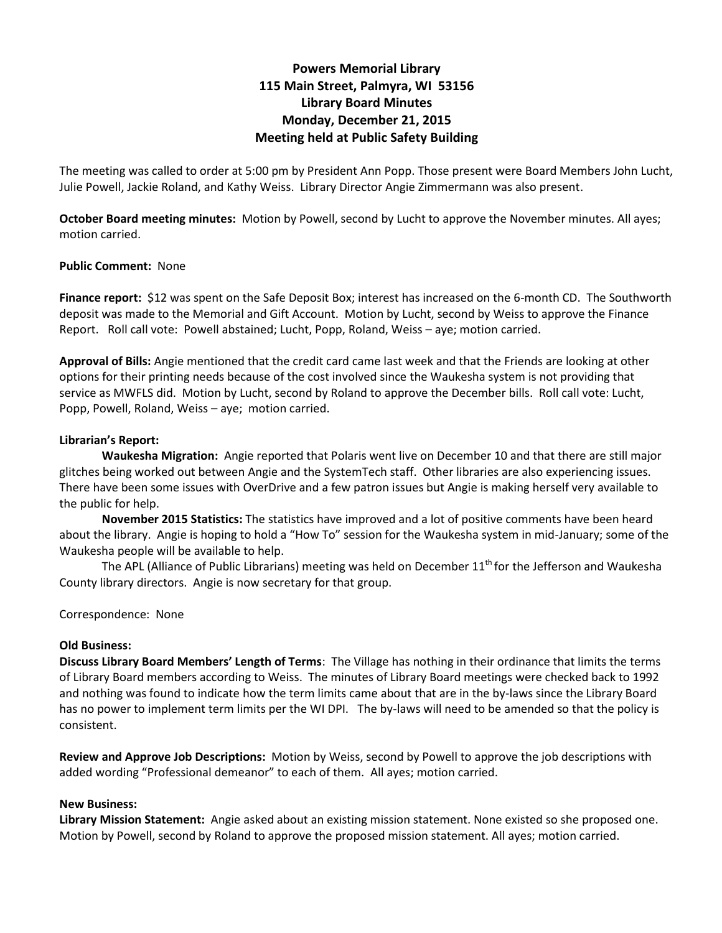# **Powers Memorial Library 115 Main Street, Palmyra, WI 53156 Library Board Minutes Monday, December 21, 2015 Meeting held at Public Safety Building**

The meeting was called to order at 5:00 pm by President Ann Popp. Those present were Board Members John Lucht, Julie Powell, Jackie Roland, and Kathy Weiss. Library Director Angie Zimmermann was also present.

**October Board meeting minutes:** Motion by Powell, second by Lucht to approve the November minutes. All ayes; motion carried.

## **Public Comment:** None

**Finance report:** \$12 was spent on the Safe Deposit Box; interest has increased on the 6-month CD. The Southworth deposit was made to the Memorial and Gift Account. Motion by Lucht, second by Weiss to approve the Finance Report. Roll call vote: Powell abstained; Lucht, Popp, Roland, Weiss – aye; motion carried.

**Approval of Bills:** Angie mentioned that the credit card came last week and that the Friends are looking at other options for their printing needs because of the cost involved since the Waukesha system is not providing that service as MWFLS did. Motion by Lucht, second by Roland to approve the December bills. Roll call vote: Lucht, Popp, Powell, Roland, Weiss – aye; motion carried.

## **Librarian's Report:**

**Waukesha Migration:** Angie reported that Polaris went live on December 10 and that there are still major glitches being worked out between Angie and the SystemTech staff. Other libraries are also experiencing issues. There have been some issues with OverDrive and a few patron issues but Angie is making herself very available to the public for help.

 **November 2015 Statistics:** The statistics have improved and a lot of positive comments have been heard about the library. Angie is hoping to hold a "How To" session for the Waukesha system in mid-January; some of the Waukesha people will be available to help.

The APL (Alliance of Public Librarians) meeting was held on December 11<sup>th</sup> for the Jefferson and Waukesha County library directors. Angie is now secretary for that group.

Correspondence: None

### **Old Business:**

**Discuss Library Board Members' Length of Terms**: The Village has nothing in their ordinance that limits the terms of Library Board members according to Weiss. The minutes of Library Board meetings were checked back to 1992 and nothing was found to indicate how the term limits came about that are in the by-laws since the Library Board has no power to implement term limits per the WI DPI. The by-laws will need to be amended so that the policy is consistent.

**Review and Approve Job Descriptions:** Motion by Weiss, second by Powell to approve the job descriptions with added wording "Professional demeanor" to each of them. All ayes; motion carried.

### **New Business:**

**Library Mission Statement:** Angie asked about an existing mission statement. None existed so she proposed one. Motion by Powell, second by Roland to approve the proposed mission statement. All ayes; motion carried.